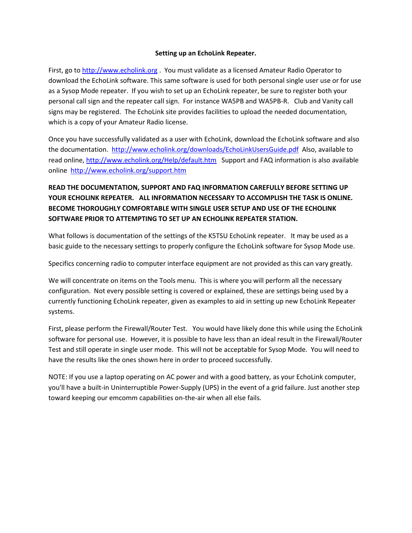#### **Setting up an EchoLink Repeater.**

First, go to [http://www.echolink.org](http://www.echolink.org/) . You must validate as a licensed Amateur Radio Operator to download the EchoLink software. This same software is used for both personal single user use or for use as a Sysop Mode repeater. If you wish to set up an EchoLink repeater, be sure to register both your personal call sign and the repeater call sign. For instance WA5PB and WA5PB-R. Club and Vanity call signs may be registered. The EchoLink site provides facilities to upload the needed documentation, which is a copy of your Amateur Radio license.

Once you have successfully validated as a user with EchoLink, download the EchoLink software and also the documentation. <http://www.echolink.org/downloads/EchoLinkUsersGuide.pdf>Also, available to read online,<http://www.echolink.org/Help/default.htm>Support and FAQ information is also available online <http://www.echolink.org/support.htm>

## **READ THE DOCUMENTATION, SUPPORT AND FAQ INFORMATION CAREFULLY BEFORE SETTING UP YOUR ECHOLINK REPEATER. ALL INFORMATION NECESSARY TO ACCOMPLISH THE TASK IS ONLINE. BECOME THOROUGHLY COMFORTABLE WITH SINGLE USER SETUP AND USE OF THE ECHOLINK SOFTWARE PRIOR TO ATTEMPTING TO SET UP AN ECHOLINK REPEATER STATION.**

What follows is documentation of the settings of the K5TSU EchoLink repeater. It may be used as a basic guide to the necessary settings to properly configure the EchoLink software for Sysop Mode use.

Specifics concerning radio to computer interface equipment are not provided as this can vary greatly.

We will concentrate on items on the Tools menu. This is where you will perform all the necessary configuration. Not every possible setting is covered or explained, these are settings being used by a currently functioning EchoLink repeater, given as examples to aid in setting up new EchoLink Repeater systems.

First, please perform the Firewall/Router Test. You would have likely done this while using the EchoLink software for personal use. However, it is possible to have less than an ideal result in the Firewall/Router Test and still operate in single user mode. This will not be acceptable for Sysop Mode. You will need to have the results like the ones shown here in order to proceed successfully.

NOTE: If you use a laptop operating on AC power and with a good battery, as your EchoLink computer, you'll have a built-in Uninterruptible Power-Supply (UPS) in the event of a grid failure. Just another step toward keeping our emcomm capabilities on-the-air when all else fails.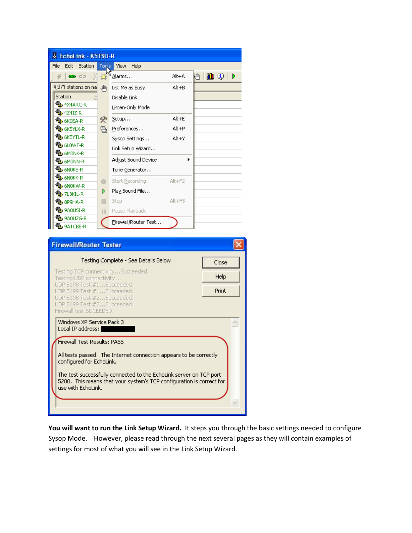| & EchoLink - K5TSU-R    |       |                      |            |                 |
|-------------------------|-------|----------------------|------------|-----------------|
| File<br>Edit<br>Station | Tools | Help<br><b>View</b>  |            |                 |
| ëä<br>œ.                |       | Alarms               | Alt+A      | HI O<br>Кw<br>D |
| 4,971 stations on na    | √ि∩   | List Me as Busy      | Alt+B      |                 |
| Station                 |       | Disable Link         |            |                 |
| <b>电</b> 4X4ARC-R       |       | Listen-Only Mode     |            |                 |
| <b>も</b> 4Z4IZ-R        |       |                      |            |                 |
| <b>も</b> 6KOEA-R        | *     | Setup                | $Alt + E$  |                 |
| <b>电</b> 6K5YLX-R       | 国     | Preferences          | Alt+P      |                 |
| <b>电</b> 6K5YTL-R       |       | Sysop Settings       | Alt+Y      |                 |
| <b>も</b> 6LOWT-R        |       | Link Setup Wizard    |            |                 |
| <b>电</b> 6MONK-R        |       |                      |            |                 |
| <b>地</b> 6MONN-R        |       | Adjust Sound Device  | ▶          |                 |
| <b>电</b> 6NOKE-R        |       | Tone Generator       |            |                 |
| <b>电</b> 6NOKK-R        | ⊙     | Start Recording      | $Alt + F2$ |                 |
| <b>电</b> 6NOKW-R        |       |                      |            |                 |
| ₩b 7L3KIL-R             | Þ     | Play Sound File      |            |                 |
| <b>も</b> 8P9HA-R        | □     | Stop                 | $Alt + F3$ |                 |
| <b>も</b> 9AOUSI-R       | m     | Pause Playback       |            |                 |
| <b>电</b> 9A0UZG-R       |       | Firewall/Router Test |            |                 |
| <b>も</b> 9A1CBB-R       |       |                      |            |                 |

| <b>Firewall/Router Tester</b>                                                                                                                                    |       |
|------------------------------------------------------------------------------------------------------------------------------------------------------------------|-------|
| Testing Complete - See Details Below                                                                                                                             | Close |
| Testing TCP connectivitySucceeded.<br>Testing UDP connectivity                                                                                                   | Help  |
| UDP 5198 Test #1Succeeded.<br>UDP 5199 Test #1Succeeded.                                                                                                         | Print |
| UDP 5198 Test #2Succeeded.<br>UDP 5199 Test #2,., Succeeded.<br>Firewall test SUCEEDED.                                                                          |       |
| Windows XP Service Pack 3<br>Local IP address:                                                                                                                   |       |
| <b>Firewall Test Results: PASS</b>                                                                                                                               |       |
| All tests passed. The Internet connection appears to be correctly<br>configured for EchoLink.                                                                    |       |
| The test successfully connected to the EchoLink server on TCP port<br>5200. This means that your system's TCP configuration is correct for<br>use with EchoLink. |       |
|                                                                                                                                                                  |       |

**You will want to run the Link Setup Wizard.** It steps you through the basic settings needed to configure Sysop Mode. However, please read through the next several pages as they will contain examples of settings for most of what you will see in the Link Setup Wizard.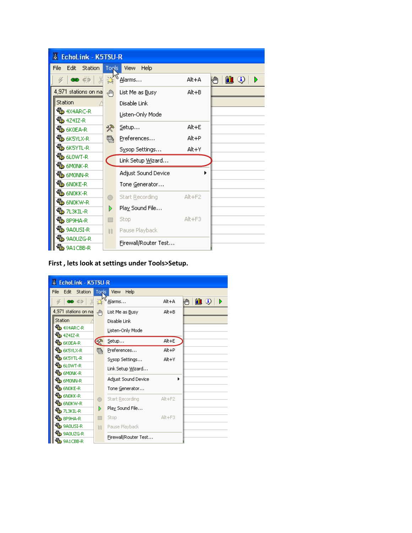| & EchoLink - K5TSU-R           |       |                         |            |                           |
|--------------------------------|-------|-------------------------|------------|---------------------------|
| File<br>Edit<br><b>Station</b> | Tools | Help<br><b>View</b>     |            |                           |
| ෙ ෙ                            |       | Alarms                  | Alt+A      | $\mathbf{u}$ o<br>Кw<br>D |
| 4,971 stations on na           | √ि∩   | List Me as Busy         | $Alt + B$  |                           |
| Station                        |       | Disable Link            |            |                           |
| <b>电</b> 4X4ARC-R              |       | Listen-Only Mode        |            |                           |
| <b>电</b> 4Z4IZ-R               |       |                         |            |                           |
| <b>ФЬ</b> 6К0ЕА-R              | *     | Setup                   | Alt+E      |                           |
| <b>电</b> 6K5YLX-R              | 鷤     | Preferences             | Alt+P      |                           |
| ∰b 6K5YTL-R                    |       | Sysop Settings          | Alt+Y      |                           |
| ৠ 6L0WT-R                      |       | Link Setup Wizard       |            |                           |
| <b>电</b> 6MONK-R               |       |                         |            |                           |
| <b>UL</b> 6MONN-R              |       | Adjust Sound Device     |            |                           |
| <b>电 GNOKE-R</b>               |       | Tone Generator          |            |                           |
| <b>电 6NOKK-R</b>               |       | Start <u>R</u> ecording | $Alt + F2$ |                           |
| <sup>ব</sup> ‼b 6N0KW-R        |       |                         |            |                           |
| <b>も</b> 7L3KIL-R              | D     | Play Sound File         |            |                           |
| <b>も</b> 8P9HA-R               |       | <b>Stop</b>             | $Alt + F3$ |                           |
| <b>も</b> 9A0USI-R              | Ш     | Pause Playback          |            |                           |
| <b>も</b> 9AOUZG-R              |       | Firewall/Router Test    |            |                           |
| <b>电</b> 9A1CBB-R              |       |                         |            |                           |

### **First , lets look at settings under Tools>Setup.**

| & EchoLink - K5TSU-R    |              |                      |            |                |
|-------------------------|--------------|----------------------|------------|----------------|
| File<br>Edit<br>Station | <b>Tools</b> | Help<br><b>View</b>  |            |                |
| es co                   |              | Alarms               | Alt+A      | MO)<br>Кw<br>D |
| 4,971 stations on na    | √‼ि          | List Me as Busy      | $Alt + B$  |                |
| Station                 |              | Disable Link         |            |                |
| <b>电</b> 4X4ARC-R       |              | Listen-Only Mode     |            |                |
| <sup>য</sup> ী∌ 4Z4IZ-R |              |                      |            |                |
| <b>电</b> 6KOEA-R        |              | Setup                | Alt+E      |                |
| <b>UD</b> 6K5YLX-R      | e,           | Preferences          | $Alt + P$  |                |
| <b>UD</b> 6KSYTL-R      |              | Sysop Settings       | Alt+Y      |                |
| <b>も</b> 6LOWT-R        |              |                      |            |                |
| <b>VEL</b> 6MONK-R      |              | Link Setup Wizard    |            |                |
| <b>地</b> 6MONN-R        |              | Adjust Sound Device  | ▶          |                |
| <b>も</b> 6NOKE-R        |              | Tone Generator       |            |                |
| <b>地</b> 6NOKK-R        | O            | Start Recording      | $Alt + F2$ |                |
| <sup>ব</sup> ঠি 6N0KW-R |              |                      |            |                |
| ₩bb 7L3KIL-R            | D            | Play Sound File      |            |                |
| <b>电</b> 8P9HA-R        | П            | Stop                 | $Alt + F3$ |                |
| <b>も</b> 9A0USI-R       | Ш            | Pause Playback       |            |                |
| <b>も</b> 9A0UZG-R       |              | Firewall/Router Test |            |                |
| <b>も</b> 9A1CBB-R       |              |                      |            |                |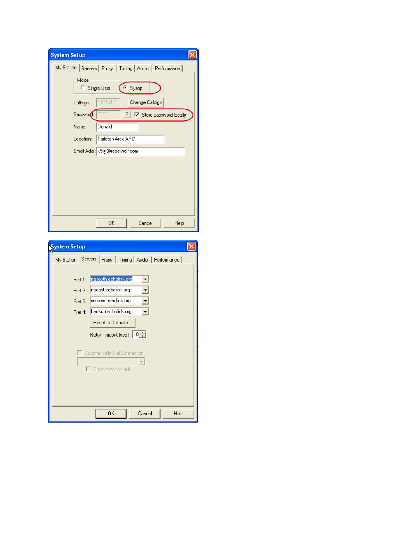| <b>System Setup</b>                                                      |
|--------------------------------------------------------------------------|
| My Station Servers Proxy   Timing   Audio   Performance                  |
| Mode<br>Sysop<br>Single-User                                             |
| K5TSU-R<br>Change Callsign<br>Callsign:                                  |
| Password:<br>$\overline{\blacktriangledown}$ Store password locally<br>? |
| Name:<br>Donald                                                          |
| Tarleton Area ARC<br>Location:                                           |
| Email Addr: K5iiy@rebelwolf.com                                          |
|                                                                          |
|                                                                          |
|                                                                          |
|                                                                          |
|                                                                          |
| Cancel<br>0K<br>Help                                                     |
|                                                                          |

| ystem Setup                                               |  |
|-----------------------------------------------------------|--|
| My Station Servers   Proxy   Timing   Audio   Performance |  |
|                                                           |  |
| nasouth.echolink.org<br>Pref 1:                           |  |
| naeast.echolink.org<br>Pref 2:                            |  |
| servers.echolink.org<br>Pref 3:                           |  |
| backup.echolink.org<br>Pref 4:                            |  |
| Reset to Defaults                                         |  |
| Retry Timeout (sec): 10 <sup>-1</sup>                     |  |
|                                                           |  |
| Automatically Dial Connection:                            |  |
| Disconnect on exit                                        |  |
|                                                           |  |
|                                                           |  |
|                                                           |  |
| 0K<br>Cancel<br>Help                                      |  |
|                                                           |  |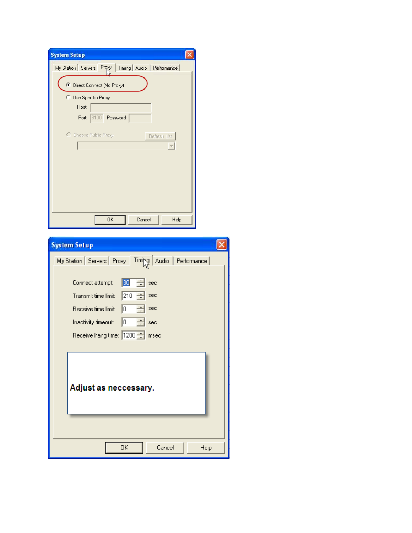| <b>System Setup</b>                                             |      |
|-----------------------------------------------------------------|------|
| Proxy   Timing   Audio   Performance  <br>My Station   Servers  |      |
| C Direct Connect (No Proxy)                                     |      |
| C Use Specific Proxy:                                           |      |
| Host:<br>Port: 8100 Password:                                   |      |
|                                                                 |      |
| C Choose Public Proxy:<br>Refresh List                          |      |
|                                                                 |      |
|                                                                 |      |
|                                                                 |      |
|                                                                 |      |
|                                                                 |      |
| <b>OK</b><br>Cancel<br>Help                                     |      |
|                                                                 |      |
| <b>System Setup</b>                                             |      |
| Audio   Performance  <br>My Station   Servers   Proxy<br>Timing |      |
| 30<br>Connect attempt:<br>sec                                   |      |
| 210<br>Transmit time limit:<br>sec                              |      |
| 10<br>Receive time limit:<br>sec                                |      |
| 10<br>Inactivity timeout:<br>sec                                |      |
| Receive hang time: 1200<br>msec                                 |      |
|                                                                 |      |
|                                                                 |      |
|                                                                 |      |
| Adjust as neccessary.                                           |      |
|                                                                 |      |
|                                                                 |      |
|                                                                 |      |
|                                                                 |      |
| 0K<br>Cancel                                                    | Help |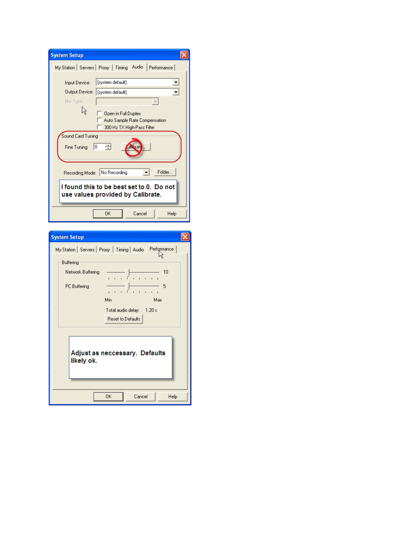| <b>System Setup</b>                                                                |  |  |  |
|------------------------------------------------------------------------------------|--|--|--|
| My Station Servers Proxy Timing Audio<br>Performance                               |  |  |  |
| [system default]<br>Input Device:                                                  |  |  |  |
| Output Device:<br>[system default]                                                 |  |  |  |
| Mic Type:                                                                          |  |  |  |
| Open in Full Duplex<br>Auto Sample Rate Compensation<br>300 Hz TX High-Pass Filter |  |  |  |
| Sound Card Tuning                                                                  |  |  |  |
| albrat<br>Fine Tuning:<br>10                                                       |  |  |  |
| Folder<br>Recording Mode: No Recording                                             |  |  |  |
| I found this to be best set to 0. Do not<br>use values provided by Calibrate.      |  |  |  |
| OK<br>Cancel<br>Help                                                               |  |  |  |

| <b>System Setup</b>                                                                                                                                                                      |
|------------------------------------------------------------------------------------------------------------------------------------------------------------------------------------------|
| My Station   Servers   Proxy   Timing   Audio   Performance<br>Buffering<br>Network Buffering<br>10<br>PC Buffering<br>5<br>Min<br>Max<br>Total audio delay: 1.20 s<br>Reset to Defaults |
| Adjust as neccessary. Defaults<br>likely ok.                                                                                                                                             |
| 0K<br>Cancel<br>Help                                                                                                                                                                     |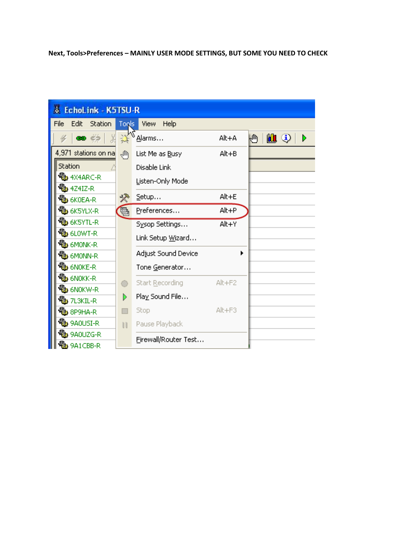# **Next, Tools>Preferences – MAINLY USER MODE SETTINGS, BUT SOME YOU NEED TO CHECK**

| & EchoLink - K5TSU-R     |              |                      |        |           |
|--------------------------|--------------|----------------------|--------|-----------|
| Edit<br>File<br>Station  | Tools        | Help<br><b>View</b>  |        |           |
|                          |              | Alarms               | Alt+A  | MO)<br>Кw |
| 4,971 stations on na     | 仙            | List Me as Busy      | Alt+B  |           |
| Station                  |              | Disable Link         |        |           |
| <b>OL</b> 4X4ARC-R       |              | Listen-Only Mode     |        |           |
| 4 <mark>地</mark> 4Z4IZ-R |              |                      |        |           |
| <b>も</b> 6KOEA-R         | *            | Setup                | Alt+E  |           |
| <b>も</b> 6K5YLX-R        |              | Preferences          | Alt+P  |           |
| <b>も</b> 6K5YTL-R        |              | Sysop Settings       | Alt+Y  |           |
| <b>も</b> 6LOWT-R         |              | Link Setup Wizard    |        |           |
| <b>电</b> 6MONK-R         |              |                      |        |           |
| <b>VEL</b> 6MONN-R       |              | Adjust Sound Device  |        |           |
| <b>も</b> 6NOKE-R         |              | Tone Generator       |        |           |
| <b>电</b> 6NOKK-R         |              | Start Recording      | Alt+F2 |           |
| <b>电</b> 6NOKW-R         |              |                      |        |           |
| <b>も</b> 7L3KIL-R        | D            | Play Sound File      |        |           |
| <b>VEL</b> 8P9HA-R       |              | Stop                 | Alt+F3 |           |
| <b>も</b> 9A0USI-R        | $\mathbb{H}$ | Pause Playback       |        |           |
| <b>も</b> 9A0UZG-R        |              |                      |        |           |
| <b>B</b> 9A1CBB-R        |              | Firewall/Router Test |        |           |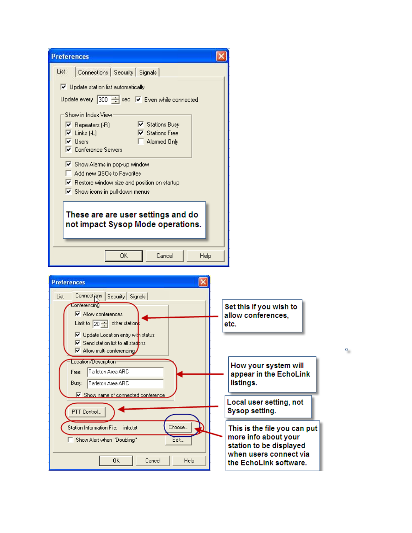| <b>Preferences</b>                                                                                                                                                                                                                                                                                                                                      |                                                                                                           |
|---------------------------------------------------------------------------------------------------------------------------------------------------------------------------------------------------------------------------------------------------------------------------------------------------------------------------------------------------------|-----------------------------------------------------------------------------------------------------------|
| List<br>Connections   Security   Signals                                                                                                                                                                                                                                                                                                                |                                                                                                           |
| $\overline{\nabla}$ Update station list automatically<br>Update every 300 - sec V Even while connected                                                                                                                                                                                                                                                  |                                                                                                           |
| Show in Index View<br>■ Stations Busy<br>$\nabla$ Repeaters (-R)<br>Links (-L)<br>■ Stations Free<br>⊽<br>Users<br>⊽<br>Alarmed Only<br>Conference Servers<br>Show Alarms in pop-up window<br>Add new QSOs to Favorites<br>$\triangledown$ Restore window size and position on startup<br>$\overline{\blacktriangledown}$ Show icons in pull-down menus |                                                                                                           |
| These are are user settings and do<br>not impact Sysop Mode operations.                                                                                                                                                                                                                                                                                 |                                                                                                           |
| Cancel<br>Help<br>0K                                                                                                                                                                                                                                                                                                                                    |                                                                                                           |
| <b>Preferences</b>                                                                                                                                                                                                                                                                                                                                      |                                                                                                           |
| Connections Security Signals<br>List<br><b>Conferencing</b><br><b>▽</b> Allow conferences<br>Limit to $\boxed{20 - 1}$ other stations<br>V Update Location entry with status<br>$\overline{\triangledown}$ Send station list to all stations<br>M Allow multi-conferencing                                                                              | Set this if you wish to<br>allow conferences,<br>etc.<br>Ξ                                                |
| Location/Description-<br>Tarleton Area ARC<br>Free:<br>Tarleton Area ARC<br>Busy:                                                                                                                                                                                                                                                                       | How your system will<br>appear in the EchoLink<br>listings.                                               |
| <b>▽</b> Show name of connected conference<br>PTT Control                                                                                                                                                                                                                                                                                               | Local user setting, not<br>Sysop setting.                                                                 |
| Choose<br>Station Information File:<br>info.txt<br>Edit<br>Show Alert when "Doubling"                                                                                                                                                                                                                                                                   | This is the file you can put<br>more info about your<br>station to be displayed<br>when users connect via |
| 0K<br>Cancel<br>Help                                                                                                                                                                                                                                                                                                                                    | the EchoLink software.                                                                                    |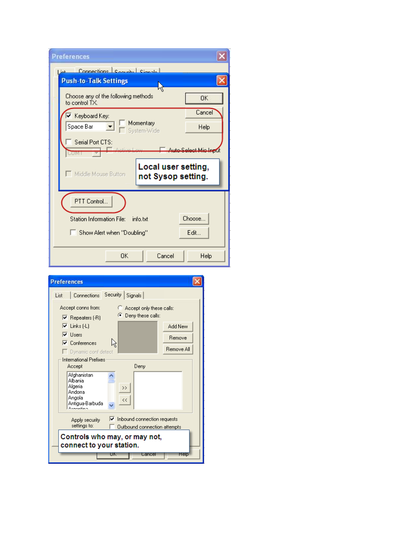| <b>Preferences</b>                                               |                      |
|------------------------------------------------------------------|----------------------|
| Connections Convilue Cianale<br>ناما ا                           |                      |
| <b>Push-to-Talk Settings</b>                                     |                      |
| ۹Ś<br>Choose any of the following methods<br>to control TX.      | <b>OK</b>            |
| V Keyboard Key:                                                  | Cancel               |
| Momentary<br>Space Bar<br>System-Wide                            | Help                 |
| Serial Port CTS:<br>LUMI                                         | Auto-Select Mic Indu |
| Local user setting,<br>Middle Mouse Button<br>not Sysop setting. |                      |
| PTT Control                                                      |                      |
| <b>Station Information File:</b><br>info.txt                     | Choose               |
| Show Alert when "Doubling"                                       | Edit                 |
| OK<br>Cancel                                                     | Help                 |

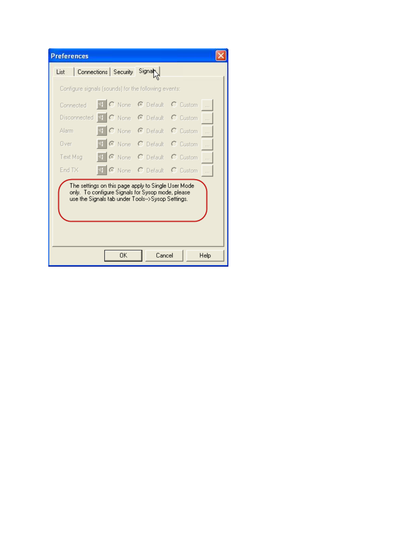| <b>Preferences</b>                                                                                                                                            |                                                      |        |                                        |  |  |
|---------------------------------------------------------------------------------------------------------------------------------------------------------------|------------------------------------------------------|--------|----------------------------------------|--|--|
| List                                                                                                                                                          | Connections Security                                 | Signal |                                        |  |  |
|                                                                                                                                                               | Configure signals (sounds) for the following events: |        |                                        |  |  |
| Connected                                                                                                                                                     |                                                      |        | 4 C None C Default C Custom            |  |  |
|                                                                                                                                                               | Disconnected <sup>4</sup> C None C Default C Custom  |        |                                        |  |  |
| Alarm -                                                                                                                                                       |                                                      |        | O None C Default C Custom<br>$\ddotsc$ |  |  |
| Over -                                                                                                                                                        |                                                      |        | C None C Default C Custom              |  |  |
| Text Msg                                                                                                                                                      |                                                      |        | C None C Default C Custom              |  |  |
| End TX                                                                                                                                                        | <sup>4</sup> C None C Default C Custom               |        |                                        |  |  |
| The settings on this page apply to Single User Mode.<br>only. To configure Signals for Sysop mode, please<br>use the Signals tab under Tools->Sysop Settings. |                                                      |        |                                        |  |  |
|                                                                                                                                                               |                                                      |        |                                        |  |  |
|                                                                                                                                                               | OK.                                                  | Cancel | Help                                   |  |  |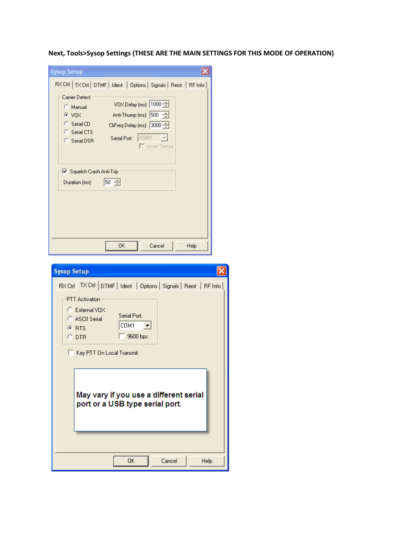**Next, Tools>Sysop Settings (THESE ARE THE MAIN SETTINGS FOR THIS MODE OF OPERATION)**

| <b>Sysop Setup</b>                                                                                                                                                                                                                                                               |
|----------------------------------------------------------------------------------------------------------------------------------------------------------------------------------------------------------------------------------------------------------------------------------|
| RX Ctrl   TX Ctrl   DTMF   Ident   Options   Signals   Remt   RF Info<br>Carrier Detect<br>VOX Delay (ms): 1000<br>C Manual<br>Anti-Thump (ms): 500<br>$C$ VDX<br>C Serial CD<br>CirFreq Delay (ms): 3000<br>C Serial CTS<br>Serial Port: COM1<br>C Serial DSR<br>□ Invert Sense |
| Ⅳ Squelch Crash Anti-Trip<br>$50 \div$<br>Duration (ms):                                                                                                                                                                                                                         |
| Cancel<br>0K<br>Help                                                                                                                                                                                                                                                             |

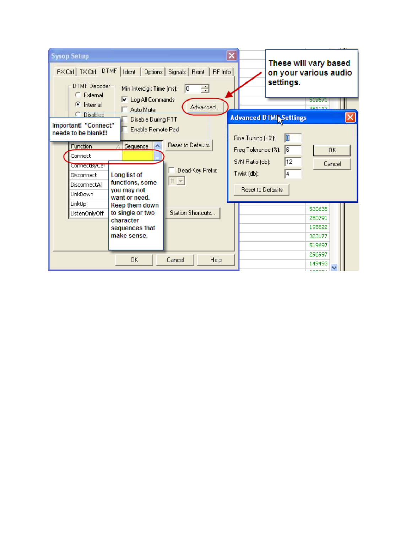| <b>Sysop Setup</b><br>RX Ctrl   TX Ctrl   DTMF  <br>Ident   Options   Signals   Remt   RF Info<br>DTMF Decoder-<br>Min Interdigit Time (ms):<br>÷<br>10.<br>C External                                                                                                                                                                                                                                                     | These will vary based<br>on your various audio<br>settings.                                                                                                                                          |  |  |  |  |
|----------------------------------------------------------------------------------------------------------------------------------------------------------------------------------------------------------------------------------------------------------------------------------------------------------------------------------------------------------------------------------------------------------------------------|------------------------------------------------------------------------------------------------------------------------------------------------------------------------------------------------------|--|--|--|--|
| <b>▽</b> Log All Commands<br>$\binom{2}{1}$ Internal<br>Advanced<br>Auto Mute<br><b>Disabled</b><br>Disable During PTT<br>Important! "Connect"<br>Enable Remote Pad<br>needs to be blank!!!<br><b>Reset to Defaults</b><br>Function<br>Sequence<br>Connect<br>ConnectByCall<br>Dead-Key Prefix:<br>Long list of<br>Disconnect<br>$\#$ $\#$<br>functions, some<br>DisconnectAll<br>you may not<br>LinkDown<br>want or need. | 519675<br>351112<br><b>Advanced DTMINSettings</b><br>O<br>Fine Tuning (±%):<br>6<br>Freq Tolerance (%):<br>OK.<br>$ 12\rangle$<br>S/N Ratio (db):<br>Cancel<br>Twist (db):<br>4<br>Reset to Defaults |  |  |  |  |
| LinkUp<br>Keep them down<br>Station Shortcuts<br>to single or two<br>ListenOnlyOff<br>character<br>sequences that<br>make sense.<br><b>OK</b><br>Cancel<br><b>Help</b>                                                                                                                                                                                                                                                     | 530635<br>280791<br>195822<br>323177<br>519697<br>296997<br>149493                                                                                                                                   |  |  |  |  |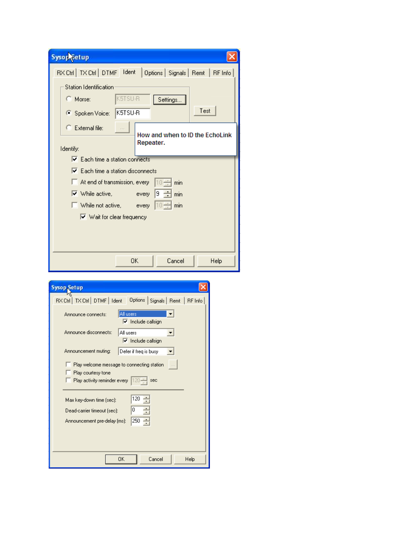| <b>Sysop</b> Setup                                                     |
|------------------------------------------------------------------------|
| RX Ctrl   TX Ctrl   DTMF   Ident<br>Options   Signals   Remt   RF Info |
| <b>Station Identification</b>                                          |
| K5TSU-R<br>C Morse:<br>Settings                                        |
| Test<br>K5TSU-R<br>Spoken Voice:                                       |
| $\mathbb{C}$ External file:                                            |
| How and when to ID the EchoLink<br>Repeater.                           |
| Identify:                                                              |
| $\overline{\triangledown}$ Each time a station connects                |
| $\triangledown$ Each time a station disconnects                        |
| $\Box$ At end of transmission, every<br>110 ÷<br>min                   |
| $\triangledown$ While active,<br>9<br>every<br>min                     |
| $\left 10 \right $ min<br>While not active, every                      |
| $\triangledown$ Wait for clear frequency                               |
|                                                                        |
|                                                                        |
|                                                                        |
| 0K<br>Cancel<br>Help                                                   |

| <b>Sysop Setup</b>                                                                                               |  |  |  |  |
|------------------------------------------------------------------------------------------------------------------|--|--|--|--|
| RX Ctrl   TX Ctrl   DTMF   Ident<br>Options   Signals   Remt   RF Info                                           |  |  |  |  |
| All users<br>Announce connects:<br>$\nabla$ Include callsign                                                     |  |  |  |  |
| Announce disconnects:<br>All users<br>$\nabla$ Include callsign                                                  |  |  |  |  |
| Defer if freg is busy<br>Announcement muting:                                                                    |  |  |  |  |
| Play welcome message to connecting station<br>Play courtesy tone<br>Play activity reminder every $ 120 -$<br>sec |  |  |  |  |
| 120<br>Max key-down time (sec):<br>0<br>Dead-carrier timeout (sec):<br>250<br>÷<br>Announcement pre-delay (ms):  |  |  |  |  |
| OK<br>Cancel<br>Help                                                                                             |  |  |  |  |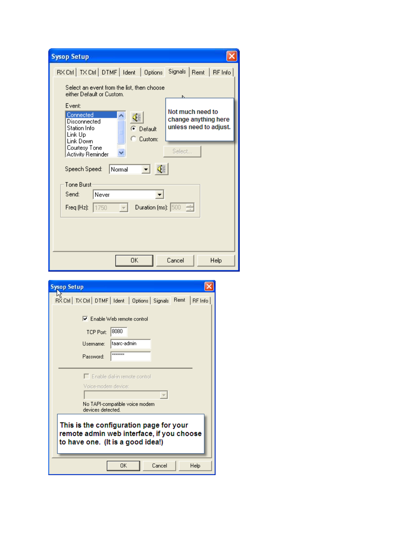| <b>Sysop Setup</b>                                                                                     |                                                                    |
|--------------------------------------------------------------------------------------------------------|--------------------------------------------------------------------|
| RX Ctrl   TX Ctrl   DTMF   Ident   Options                                                             | Signals   Remt   RF Info                                           |
| Select an event from the list, then choose<br>either Default or Custom.                                |                                                                    |
| Event:<br>Connected<br>∢<br>Disconnected<br>Station Info<br>Default<br>Link Up<br>Custom:<br>Link Down | Not much need to<br>change anything here<br>unless need to adjust. |
| Courtesy Tone<br>Activity Reminder                                                                     | Select                                                             |
| Normal<br>$\blacksquare$<br>Speech Speed:                                                              |                                                                    |
| Tone Burst                                                                                             |                                                                    |
| Send:<br>Never                                                                                         |                                                                    |
| Duration (ms): $\boxed{500}$<br>Freq (Hz):<br>1750                                                     |                                                                    |
|                                                                                                        |                                                                    |
|                                                                                                        |                                                                    |
|                                                                                                        |                                                                    |
| 0K                                                                                                     | Cancel<br>Help                                                     |

| <b>Sysop Setup</b><br>RX Ctrl   TX Ctrl   DTMF   Ident   Options   Signals  <br>Remt<br>RF Info                           |
|---------------------------------------------------------------------------------------------------------------------------|
| $\nabla$ Enable Web remote control<br>8080<br><b>TCP Port:</b><br>taarc-admin<br>Username:                                |
| <b>xxxxxxxx</b><br>Password:                                                                                              |
| Enable dial-in remote control<br>Vinice-modem device:<br>No TAPI-compatible voice modem<br>devices detected.              |
| This is the configuration page for your<br>remote admin web interface, if you choose<br>to have one. (It is a good idea!) |
| OK<br>Cancel<br>Help                                                                                                      |